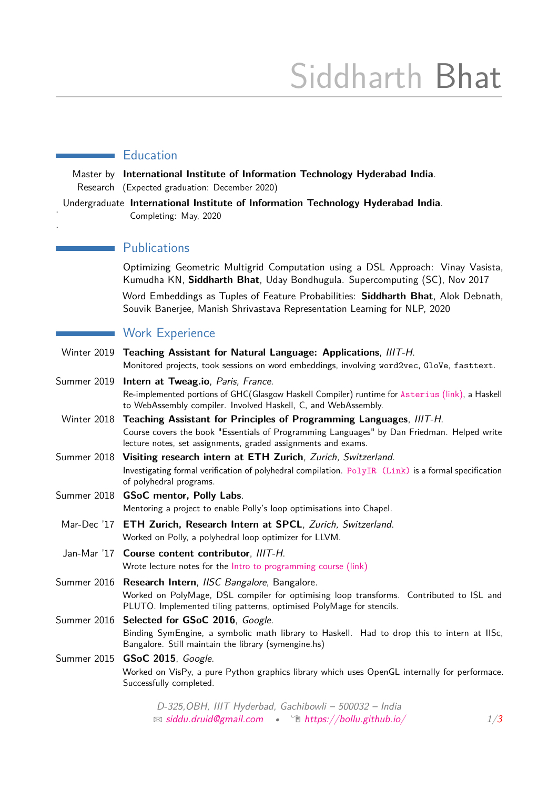# Siddharth Bhat

### **Education**

Master by **International Institute of Information Technology Hyderabad India**. Research (Expected graduation: December 2020)

Undergraduate **International Institute of Information Technology Hyderabad India**. Completing: May, 2020

#### **Publications**

.

.

Optimizing Geometric Multigrid Computation using a DSL Approach: Vinay Vasista, Kumudha KN, **Siddharth Bhat**, Uday Bondhugula. Supercomputing (SC), Nov 2017

Word Embeddings as Tuples of Feature Probabilities: **Siddharth Bhat**, Alok Debnath, Souvik Banerjee, Manish Shrivastava Representation Learning for NLP, 2020

#### Work Experience

|                          | Winter 2019 Teaching Assistant for Natural Language: Applications, IIIT-H.                                                                                        |
|--------------------------|-------------------------------------------------------------------------------------------------------------------------------------------------------------------|
|                          | Monitored projects, took sessions on word embeddings, involving word2vec, GloVe, fasttext.                                                                        |
|                          | Summer 2019 <b>Intern at Tweag.io</b> , Paris, France.                                                                                                            |
|                          | Re-implemented portions of GHC(Glasgow Haskell Compiler) runtime for Asterius (link), a Haskell<br>to WebAssembly compiler. Involved Haskell, C, and WebAssembly. |
|                          | Winter 2018 Teaching Assistant for Principles of Programming Languages, IIIT-H.                                                                                   |
|                          | Course covers the book "Essentials of Programming Languages" by Dan Friedman. Helped write<br>lecture notes, set assignments, graded assignments and exams.       |
| $\overline{\phantom{a}}$ |                                                                                                                                                                   |

Summer 2018 **Visiting research intern at ETH Zurich**, Zurich, Switzerland. Investigating formal verification of polyhedral compilation. [PolyIR \(Link\)](http://github.com/bollu/polyir) is a formal specification of polyhedral programs.

- Summer 2018 **GSoC mentor, Polly Labs**. Mentoring a project to enable Polly's loop optimisations into Chapel.
- Mar-Dec '17 **ETH Zurich, Research Intern at SPCL**, Zurich, Switzerland. Worked on Polly, a polyhedral loop optimizer for LLVM.
- Jan-Mar '17 **Course content contributor**, IIIT-H. Wrote lecture notes for the [Intro to programming course \(link\)](http://pascal.iiit.ac.in/itws2/docs/#orgf49f2a9)

Summer 2016 **Research Intern**, IISC Bangalore, Bangalore. Worked on PolyMage, DSL compiler for optimising loop transforms. Contributed to ISL and PLUTO. Implemented tiling patterns, optimised PolyMage for stencils.

## Summer 2016 Selected for GSoC 2016, Google. Binding SymEngine, a symbolic math library to Haskell. Had to drop this to intern at IISc, Bangalore. Still maintain the library (symengine.hs)

#### Summer 2015 **GSoC 2015**, Google. Worked on VisPy, a pure Python graphics library which uses OpenGL internally for performace. Successfully completed.

D-325,OBH, IIIT Hyderbad, Gachibowli – 500032 – India  $\boxtimes$  [siddu.druid@gmail.com](mailto:siddu.druid@gmail.com) •  $\hat{\Box}$  [https://bollu.github.io/](http://https://bollu.github.io/)  $1/3$  $1/3$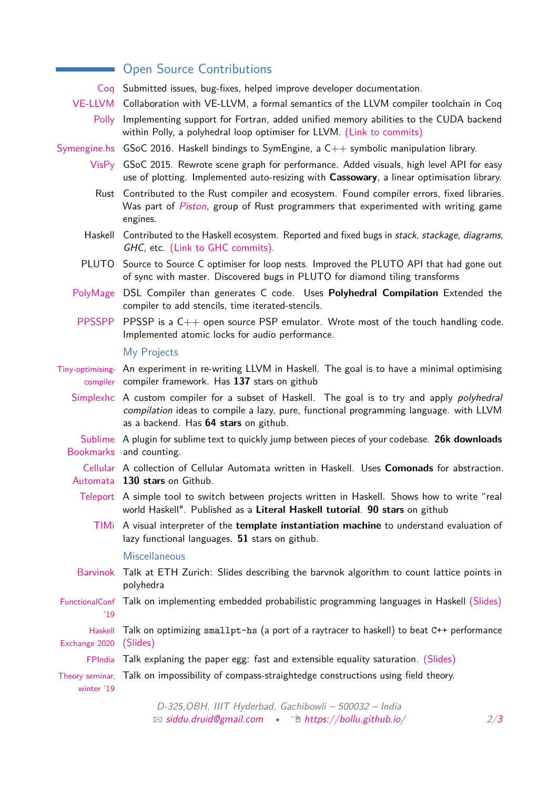|                               | <b>Open Source Contributions</b>                                                                                                                                                                                                      |
|-------------------------------|---------------------------------------------------------------------------------------------------------------------------------------------------------------------------------------------------------------------------------------|
|                               | Coq Submitted issues, bug-fixes, helped improve developer documentation.                                                                                                                                                              |
|                               | VE-LLVM Collaboration with VE-LLVM, a formal semantics of the LLVM compiler toolchain in Coq                                                                                                                                          |
| <b>Polly</b>                  | Implementing support for Fortran, added unified memory abilities to the CUDA backend<br>within Polly, a polyhedral loop optimiser for LLVM. (Link to commits)                                                                         |
|                               | Symengine.hs GSoC 2016. Haskell bindings to SymEngine, a C++ symbolic manipulation library.                                                                                                                                           |
|                               | VisPy GSoC 2015. Rewrote scene graph for performance. Added visuals, high level API for easy<br>use of plotting. Implemented auto-resizing with Cassowary, a linear optimisation library.                                             |
|                               | Rust Contributed to the Rust compiler and ecosystem. Found compiler errors, fixed libraries.<br>Was part of Piston, group of Rust programmers that experimented with writing game<br>engines.                                         |
|                               | Haskell Contributed to the Haskell ecosystem. Reported and fixed bugs in stack, stackage, diagrams,<br>GHC, etc. (Link to GHC commits).                                                                                               |
|                               | PLUTO Source to Source C optimiser for loop nests. Improved the PLUTO API that had gone out<br>of sync with master. Discovered bugs in PLUTO for diamond tiling transforms                                                            |
| PolyMage                      | DSL Compiler than generates C code. Uses Polyhedral Compilation Extended the<br>compiler to add stencils, time iterated-stencils.                                                                                                     |
|                               | PPSSPP PPSSP is a $C_{++}$ open source PSP emulator. Wrote most of the touch handling code.<br>Implemented atomic locks for audio performance.                                                                                        |
|                               | My Projects                                                                                                                                                                                                                           |
|                               | Tiny-optimising- An experiment in re-writing LLVM in Haskell. The goal is to have a minimal optimising<br>compiler compiler framework. Has 137 stars on github                                                                        |
|                               | Simplexhc A custom compiler for a subset of Haskell. The goal is to try and apply <i>polyhedral</i><br>compilation ideas to compile a lazy, pure, functional programming language. with LLVM<br>as a backend. Has 64 stars on github. |
|                               | Sublime A plugin for sublime text to quickly jump between pieces of your codebase. 26k downloads<br>Bookmarks and counting.                                                                                                           |
|                               | Cellular A collection of Cellular Automata written in Haskell. Uses <b>Comonads</b> for abstraction.<br>Automata 130 stars on Github.                                                                                                 |
|                               | Teleport A simple tool to switch between projects written in Haskell. Shows how to write "real<br>world Haskell". Published as a Literal Haskell tutorial. 90 stars on github                                                         |
|                               | TIMi A visual interpreter of the template instantiation machine to understand evaluation of<br>lazy functional languages. 51 stars on github.                                                                                         |
|                               | <b>Miscellaneous</b>                                                                                                                                                                                                                  |
| <b>Barvinok</b>               | Talk at ETH Zurich: Slides describing the barvnok algorithm to count lattice points in<br>polyhedra                                                                                                                                   |
| FunctionalConf<br>'19         | Talk on implementing embedded probabilistic programming languages in Haskell (Slides)                                                                                                                                                 |
| Haskell<br>Exchange 2020      | Talk on optimizing smallpt-hs (a port of a raytracer to haskell) to beat C++ performance<br>(Slides)                                                                                                                                  |
| FPIndia                       | Talk explaning the paper egg: fast and extensible equality saturation. (Slides)                                                                                                                                                       |
| Theory seminar,<br>winter '19 | Talk on impossibility of compass-straightedge constructions using field theory.                                                                                                                                                       |

<span id="page-1-0"></span>D-325,OBH, IIIT Hyderbad, Gachibowli – 500032 – India  $\Box$  [siddu.druid@gmail.com](mailto:siddu.druid@gmail.com) •  $\Box$  [https://bollu.github.io/](http://https://bollu.github.io/) 2[/3](#page-1-0)